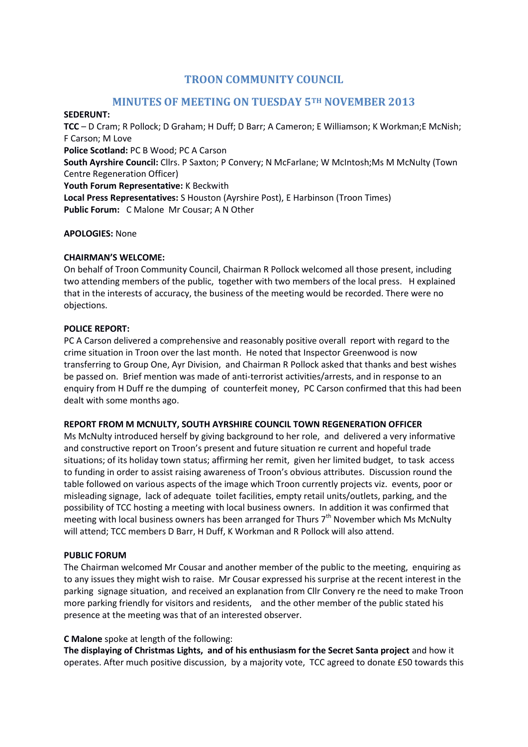# **TROON COMMUNITY COUNCIL**

# **MINUTES OF MEETING ON TUESDAY 5TH NOVEMBER 2013**

#### **SEDERUNT:**

**TCC** – D Cram; R Pollock; D Graham; H Duff; D Barr; A Cameron; E Williamson; K Workman;E McNish; F Carson; M Love **Police Scotland:** PC B Wood; PC A Carson **South Ayrshire Council:** Cllrs. P Saxton; P Convery; N McFarlane; W McIntosh;Ms M McNulty (Town Centre Regeneration Officer) **Youth Forum Representative:** K Beckwith

**Local Press Representatives:** S Houston (Ayrshire Post), E Harbinson (Troon Times) **Public Forum:** C Malone Mr Cousar; A N Other

#### **APOLOGIES:** None

#### **CHAIRMAN'S WELCOME:**

On behalf of Troon Community Council, Chairman R Pollock welcomed all those present, including two attending members of the public, together with two members of the local press. H explained that in the interests of accuracy, the business of the meeting would be recorded. There were no objections.

#### **POLICE REPORT:**

PC A Carson delivered a comprehensive and reasonably positive overall report with regard to the crime situation in Troon over the last month. He noted that Inspector Greenwood is now transferring to Group One, Ayr Division, and Chairman R Pollock asked that thanks and best wishes be passed on. Brief mention was made of anti-terrorist activities/arrests, and in response to an enquiry from H Duff re the dumping of counterfeit money, PC Carson confirmed that this had been dealt with some months ago.

#### **REPORT FROM M MCNULTY, SOUTH AYRSHIRE COUNCIL TOWN REGENERATION OFFICER**

Ms McNulty introduced herself by giving background to her role, and delivered a very informative and constructive report on Troon's present and future situation re current and hopeful trade situations; of its holiday town status; affirming her remit, given her limited budget, to task access to funding in order to assist raising awareness of Troon's obvious attributes. Discussion round the table followed on various aspects of the image which Troon currently projects viz. events, poor or misleading signage, lack of adequate toilet facilities, empty retail units/outlets, parking, and the possibility of TCC hosting a meeting with local business owners. In addition it was confirmed that meeting with local business owners has been arranged for Thurs  $7<sup>th</sup>$  November which Ms McNulty will attend; TCC members D Barr, H Duff, K Workman and R Pollock will also attend.

#### **PUBLIC FORUM**

The Chairman welcomed Mr Cousar and another member of the public to the meeting, enquiring as to any issues they might wish to raise. Mr Cousar expressed his surprise at the recent interest in the parking signage situation, and received an explanation from Cllr Convery re the need to make Troon more parking friendly for visitors and residents, and the other member of the public stated his presence at the meeting was that of an interested observer.

#### **C Malone** spoke at length of the following:

**The displaying of Christmas Lights, and of his enthusiasm for the Secret Santa project** and how it operates. After much positive discussion, by a majority vote, TCC agreed to donate £50 towards this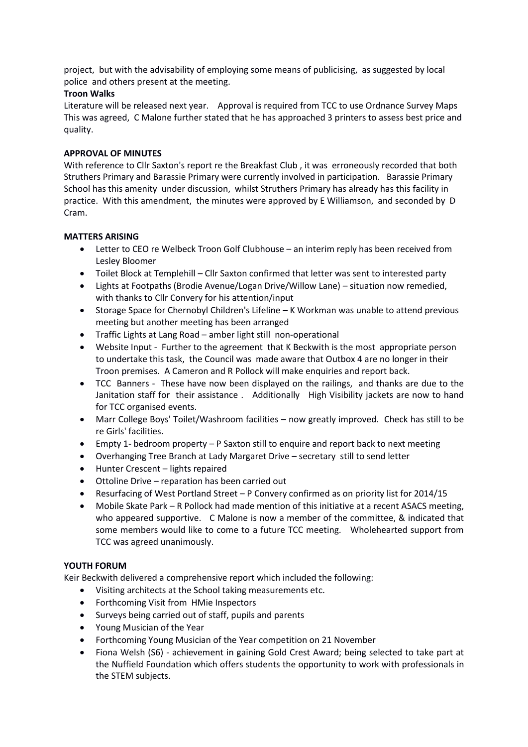project, but with the advisability of employing some means of publicising, as suggested by local police and others present at the meeting.

#### **Troon Walks**

Literature will be released next year. Approval is required from TCC to use Ordnance Survey Maps This was agreed, C Malone further stated that he has approached 3 printers to assess best price and quality.

#### **APPROVAL OF MINUTES**

With reference to Cllr Saxton's report re the Breakfast Club , it was erroneously recorded that both Struthers Primary and Barassie Primary were currently involved in participation. Barassie Primary School has this amenity under discussion, whilst Struthers Primary has already has this facility in practice. With this amendment, the minutes were approved by E Williamson, and seconded by D Cram.

#### **MATTERS ARISING**

- Letter to CEO re Welbeck Troon Golf Clubhouse an interim reply has been received from Lesley Bloomer
- Toilet Block at Templehill Cllr Saxton confirmed that letter was sent to interested party
- Lights at Footpaths (Brodie Avenue/Logan Drive/Willow Lane) situation now remedied, with thanks to Cllr Convery for his attention/input
- Storage Space for Chernobyl Children's Lifeline K Workman was unable to attend previous meeting but another meeting has been arranged
- Traffic Lights at Lang Road amber light still non-operational
- Website Input Further to the agreement that K Beckwith is the most appropriate person to undertake this task, the Council was made aware that Outbox 4 are no longer in their Troon premises. A Cameron and R Pollock will make enquiries and report back.
- TCC Banners These have now been displayed on the railings, and thanks are due to the Janitation staff for their assistance . Additionally High Visibility jackets are now to hand for TCC organised events.
- Marr College Boys' Toilet/Washroom facilities now greatly improved. Check has still to be re Girls' facilities.
- Empty 1- bedroom property P Saxton still to enquire and report back to next meeting
- Overhanging Tree Branch at Lady Margaret Drive secretary still to send letter
- Hunter Crescent lights repaired
- Ottoline Drive reparation has been carried out
- Resurfacing of West Portland Street P Convery confirmed as on priority list for 2014/15
- Mobile Skate Park R Pollock had made mention of this initiative at a recent ASACS meeting, who appeared supportive. C Malone is now a member of the committee, & indicated that some members would like to come to a future TCC meeting. Wholehearted support from TCC was agreed unanimously.

## **YOUTH FORUM**

Keir Beckwith delivered a comprehensive report which included the following:

- Visiting architects at the School taking measurements etc.
- Forthcoming Visit from HMie Inspectors
- Surveys being carried out of staff, pupils and parents
- Young Musician of the Year
- Forthcoming Young Musician of the Year competition on 21 November
- Fiona Welsh (S6) achievement in gaining Gold Crest Award; being selected to take part at the Nuffield Foundation which offers students the opportunity to work with professionals in the STEM subjects.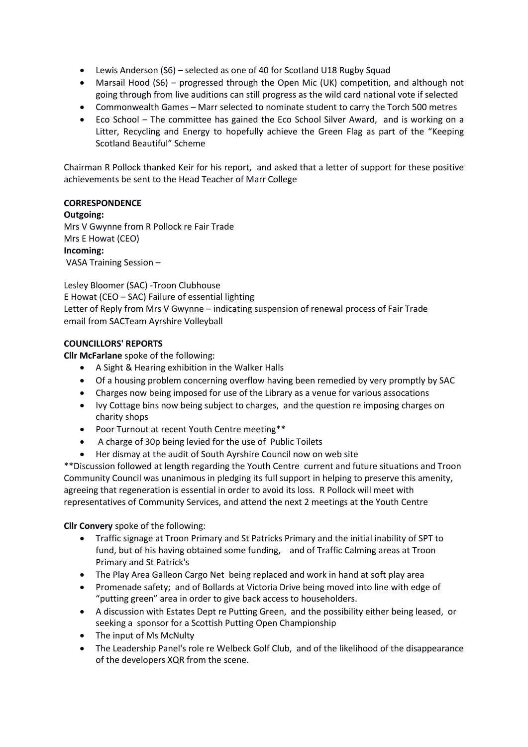- Lewis Anderson (S6) selected as one of 40 for Scotland U18 Rugby Squad
- Marsail Hood (S6) progressed through the Open Mic (UK) competition, and although not going through from live auditions can still progress as the wild card national vote if selected
- Commonwealth Games Marr selected to nominate student to carry the Torch 500 metres
- Eco School The committee has gained the Eco School Silver Award, and is working on a Litter, Recycling and Energy to hopefully achieve the Green Flag as part of the "Keeping Scotland Beautiful" Scheme

Chairman R Pollock thanked Keir for his report, and asked that a letter of support for these positive achievements be sent to the Head Teacher of Marr College

## **CORRESPONDENCE**

#### **Outgoing:**

Mrs V Gwynne from R Pollock re Fair Trade Mrs E Howat (CEO) **Incoming:**  VASA Training Session –

Lesley Bloomer (SAC) -Troon Clubhouse E Howat (CEO – SAC) Failure of essential lighting Letter of Reply from Mrs V Gwynne – indicating suspension of renewal process of Fair Trade email from SACTeam Ayrshire Volleyball

# **COUNCILLORS' REPORTS**

**Cllr McFarlane** spoke of the following:

- A Sight & Hearing exhibition in the Walker Halls
- Of a housing problem concerning overflow having been remedied by very promptly by SAC
- Charges now being imposed for use of the Library as a venue for various assocations
- Ivy Cottage bins now being subject to charges, and the question re imposing charges on charity shops
- Poor Turnout at recent Youth Centre meeting\*\*
- A charge of 30p being levied for the use of Public Toilets
- Her dismay at the audit of South Ayrshire Council now on web site

\*\*Discussion followed at length regarding the Youth Centre current and future situations and Troon Community Council was unanimous in pledging its full support in helping to preserve this amenity, agreeing that regeneration is essential in order to avoid its loss. R Pollock will meet with representatives of Community Services, and attend the next 2 meetings at the Youth Centre

**Cllr Convery** spoke of the following:

- Traffic signage at Troon Primary and St Patricks Primary and the initial inability of SPT to fund, but of his having obtained some funding, and of Traffic Calming areas at Troon Primary and St Patrick's
- The Play Area Galleon Cargo Net being replaced and work in hand at soft play area
- Promenade safety; and of Bollards at Victoria Drive being moved into line with edge of "putting green" area in order to give back access to householders.
- A discussion with Estates Dept re Putting Green, and the possibility either being leased, or seeking a sponsor for a Scottish Putting Open Championship
- The input of Ms McNulty
- The Leadership Panel's role re Welbeck Golf Club, and of the likelihood of the disappearance of the developers XQR from the scene.